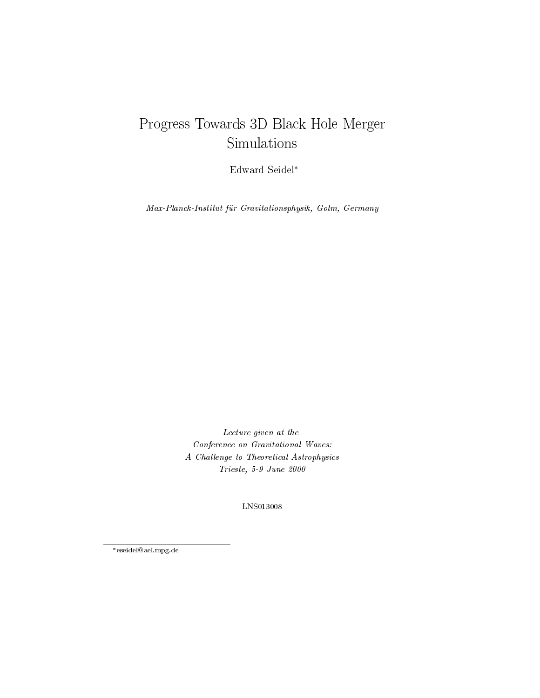# Progress Towards 3D Black Hole Merger Simulations

Edward Seidel

Max-Planck-Institut fur Gravitationsphysik, Golm, Germany

Lecture given at the Conference on Gravitational Waves: A Challenge to Theoretical Astrophysics Trieste, 5-9 June 2000

LNS013008

eseidel@aei.mpg.de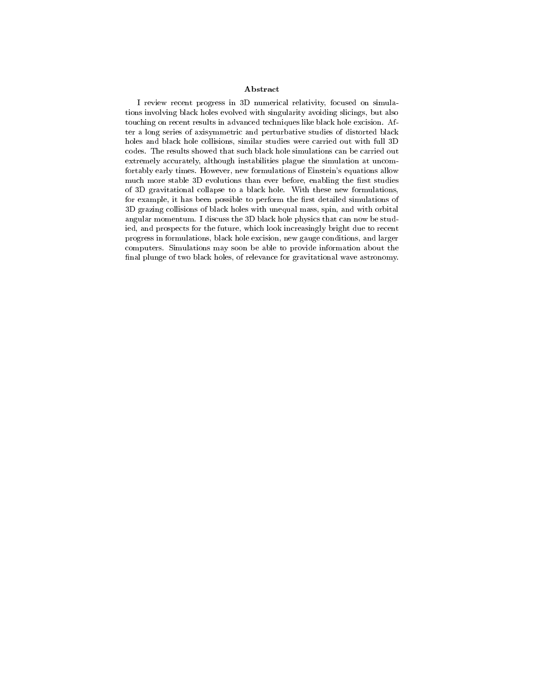#### Abstract

I review recent progress in 3D numerical relativity, focused on simulations involving black holes evolved with singularity avoiding slicings, but also touching on recent results in advanced techniques like black hole excision. After a long series of axisymmetric and perturbative studies of distorted black holes and black hole collisions, similar studies were carried out with full 3D codes. The results showed that such black hole simulations can be carried out extremely accurately, although instabilities plague the simulation at uncomfortably early times. However, new formulations of Einstein's equations allow much more stable 3D evolutions than ever before, enabling the first studies of 3D gravitational collapse to a black hole. With these new formulations, for example, it has been possible to perform the first detailed simulations of 3D grazing collisions of black holes with unequal mass, spin, and with orbital angular momentum. I discuss the 3D black hole physics that can now be studied, and prospects for the future, which look increasingly bright due to recent progress in formulations, black hole excision, new gauge conditions, and larger computers. Simulations may soon be able to provide information about the final plunge of two black holes, of relevance for gravitational wave astronomy.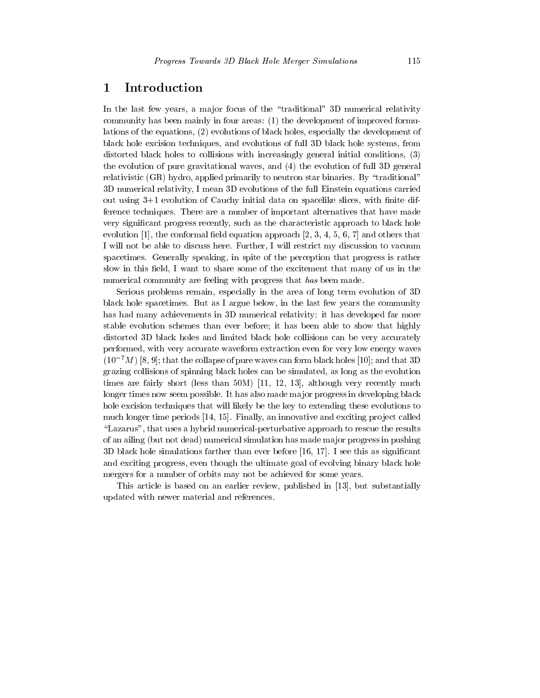### 1 Introduction

In the last few years, a major focus of the "traditional" 3D numerical relativity community has been mainly in four areas: (1) the development of improved formulations of the equations, (2) evolutions of black holes, especially the development of black hole excision techniques, and evolutions of full 3D black hole systems, from distorted black holes to collisions with increasingly general initial conditions, (3) the evolution of pure gravitational waves, and (4) the evolution of full 3D general relativistic (GR) hydro, applied primarily to neutron star binaries. By "traditional" 3D numerical relativity, I mean 3D evolutions of the full Einstein equations carried out using  $3+1$  evolution of Cauchy initial data on spacelike slices, with finite difference techniques. There are a number of important alternatives that have made very signicant progress recently, such as the characteristic approach to black hole evolution [1], the conformal field equation approach [2, 3, 4, 5, 6, 7] and others that I will not be able to discuss here. Further, I will restrict my discussion to vacuum spacetimes. Generally speaking, in spite of the perception that progress is rather slow in this field, I want to share some of the excitement that many of us in the numerical community are feeling with progress that has been made.

Serious problems remain, especially in the area of long term evolution of 3D black hole spacetimes. But as I argue below, in the last few years the community has had many achievements in 3D numerical relativity: it has developed far more stable evolution schemes than ever before; it has been able to show that highly distorted 3D black holes and limited black hole collisions can be very accurately performed, with very accurate waveform extraction even for very low energy waves  $(10^{-7}M)$  [8, 9]; that the collapse of pure waves can form black holes [10]; and that 3D grazing collisions of spinning black holes can be simulated, as long as the evolution times are fairly short (less than 50M) [11, 12, 13], although very recently much longer times now seem possible. It has also made major progress in developing black hole excision techniques that will likely be the key to extending these evolutions to much longer time periods [14, 15]. Finally, an innovative and exciting project called "Lazarus", that uses a hybrid numerical-perturbative approach to rescue the results of an ailing (but not dead) numerical simulation has made ma jor progress in pushing 3D black hole simulations farther than ever before [16, 17]. I see this as signicant and exciting progress, even though the ultimate goal of evolving binary black hole mergers for a number of orbits may not be achieved for some years.

This article is based on an earlier review, published in [13], but substantially updated with newer material and references.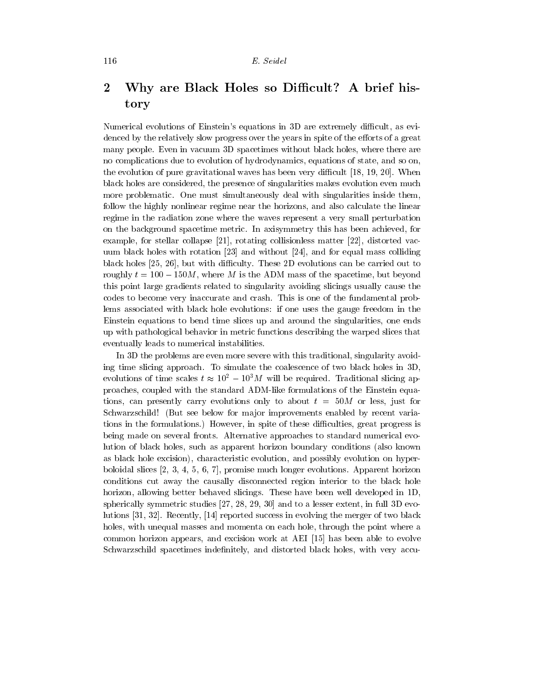## 2 Why are Black Holes so Difficult? A brief history

Numerical evolutions of Einstein's equations in 3D are extremely difficult, as evidenced by the relatively slow progress over the years in spite of the efforts of a great many people. Even in vacuum 3D spacetimes without black holes, where there are no complications due to evolution of hydrodynamics, equations of state, and so on, the evolution of pure gravitational waves has been very difficult  $[18, 19, 20]$ . When black holes are considered, the presence of singularities makes evolution even much more problematic. One must simultaneously deal with singularities inside them, follow the highly nonlinear regime near the horizons, and also calculate the linear regime in the radiation zone where the waves represent a very small perturbation on the background spacetime metric. In axisymmetry this has been achieved, for example, for stellar collapse [21], rotating collisionless matter [22], distorted vacuum black holes with rotation [23] and without [24], and for equal mass colliding black holes  $[25, 26]$ , but with difficulty. These 2D evolutions can be carried out to roughly  $t = 100 - 150M$ , where M is the ADM mass of the spacetime, but beyond this point large gradients related to singularity avoiding slicings usually cause the codes to become very inaccurate and crash. This is one of the fundamental problems associated with black hole evolutions: if one uses the gauge freedom in the Einstein equations to bend time slices up and around the singularities, one ends up with pathological behavior in metric functions describing the warped slices that eventually leads to numerical instabilities.

In 3D the problems are even more severe with this traditional, singularity avoiding time slicing approach. To simulate the coalescence of two black holes in 3D, evolutions of time scales  $t \approx 10^2 - 10^3 M$  will be required. Traditional slicing approaches, coupled with the standard ADM-like formulations of the Einstein equations, can presently carry evolutions only to about  $t = 50M$  or less, just for Schwarzschild! (But see below for major improvements enabled by recent variations in the formulations.) However, in spite of these difficulties, great progress is being made on several fronts. Alternative approaches to standard numerical evolution of black holes, such as apparent horizon boundary conditions (also known as black hole excision), characteristic evolution, and possibly evolution on hyperboloidal slices [2, 3, 4, 5, 6, 7], promise much longer evolutions. Apparent horizon conditions cut away the causally disconnected region interior to the black hole horizon, allowing better behaved slicings. These have been well developed in 1D, spherically symmetric studies [27, 28, 29, 30] and to a lesser extent, in full 3D evolutions [31, 32]. Recently, [14] reported success in evolving the merger of two black holes, with unequal masses and momenta on each hole, through the point where a common horizon appears, and excision work at AEI [15] has been able to evolve Schwarzschild spacetimes indefinitely, and distorted black holes, with very accu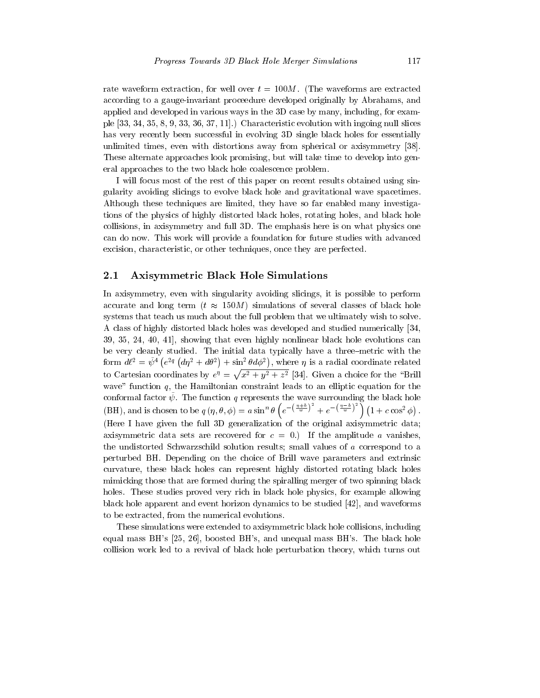rate waveform extraction, for well over  $t = 100M$ . (The waveforms are extracted according to a gauge-invariant proceedure developed originally by Abrahams, and applied and developed in various ways in the 3D case by many, including, for example [33, 34, 35, 8, 9, 33, 36, 37, 11].) Characteristic evolution with ingoing null slices has very recently been successful in evolving 3D single black holes for essentially unlimited times, even with distortions away from spherical or axisymmetry [38]. These alternate approaches look promising, but will take time to develop into general approaches to the two black hole coalescence problem.

I will focus most of the rest of this paper on recent results obtained using singularity avoiding slicings to evolve black hole and gravitational wave spacetimes. Although these techniques are limited, they have so far enabled many investigations of the physics of highly distorted black holes, rotating holes, and black hole collisions, in axisymmetry and full 3D. The emphasis here is on what physics one can do now. This work will provide a foundation for future studies with advanced excision, characteristic, or other techniques, once they are perfected.

#### 2.1 Axisymmetric Black Hole Simulations

In axisymmetry, even with singularity avoiding slicings, it is possible to perform accurate and long term  $(t \approx 150M)$  simulations of several classes of black hole systems that teach us much about the full problem that we ultimately wish to solve. A class of highly distorted black holes was developed and studied numerically [34, 39, 35, 24, 40, 41], showing that even highly nonlinear black hole evolutions can be very cleanly studied. The initial data typically have a three-metric with the form  $d\ell^2 = \psi^4 \left( e^{2q} \left( d\eta^2 + d\theta^2 \right) + \sin^2 \theta d\phi^2 \right)$ , where  $\eta$  is a radial coordinate related to Cartesian coordinates by  $e^{\eta} = \sqrt{x^2 + y^2 + z^2}$  [34]. Given a choice for the "Brill wave" function  $q$ , the Hamiltonian constraint leads to an elliptic equation for the conformal factor  $\psi$ . The function  $q$  represents the wave surrounding the black hole (BH), and is chosen to be  $q(\eta, \theta, \phi) = a \sin^n \theta \left( e^{-\left(\frac{\eta+b}{w}\right)^2} + e^{-\left(\frac{\eta-b}{w}\right)^2} \right) (1 + c \cos^2 \phi)$ . (Here I have given the full 3D generalization of the original axisymmetric data; axisymmetric data sets are recovered for  $c = 0$ .) If the amplitude a vanishes, the undistorted Schwarzschild solution results; small values of <sup>a</sup> correspond to a perturbed BH. Depending on the choice of Brill wave parameters and extrinsic curvature, these black holes can represent highly distorted rotating black holes mimicking those that are formed during the spiralling merger of two spinning black holes. These studies proved very rich in black hole physics, for example allowing black hole apparent and event horizon dynamics to be studied [42], and waveforms to be extracted, from the numerical evolutions.

These simulations were extended to axisymmetric black hole collisions, including equal mass BH's [25, 26], boosted BH's, and unequal mass BH's. The black hole collision work led to a revival of black hole perturbation theory, which turns out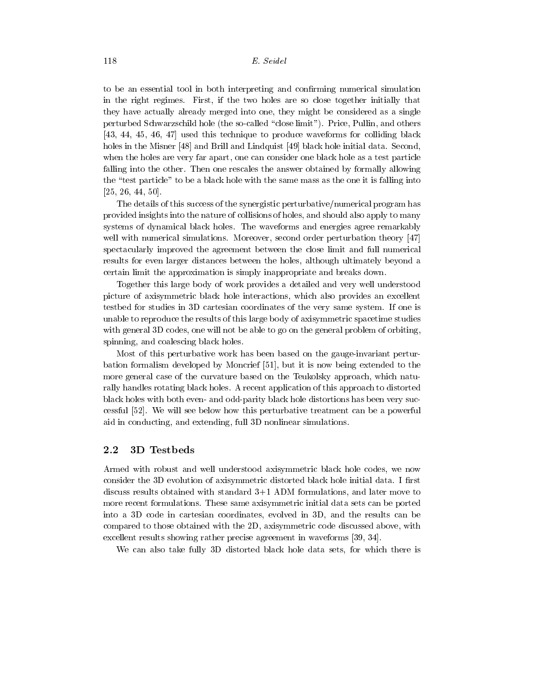to be an essential tool in both interpreting and confirming numerical simulation in the right regimes. First, if the two holes are so close together initially that they have actually already merged into one, they might be considered as a single perturbed Schwarzschild hole (the so-called \close limit"). Price, Pullin, and others [43, 44, 45, 46, 47] used this technique to produce waveforms for colliding black holes in the Misner [48] and Brill and Lindquist [49] black hole initial data. Second, when the holes are very far apart, one can consider one black hole as a test particle falling into the other. Then one rescales the answer obtained by formally allowing the "test particle" to be a black hole with the same mass as the one it is falling into [25, 26, 44, 50].

The details of this success of the synergistic perturbative/numerical program has provided insights into the nature of collisions of holes, and should also apply to many systems of dynamical black holes. The waveforms and energies agree remarkably well with numerical simulations. Moreover, second order perturbation theory [47] spectacularly improved the agreement between the close limit and full numerical results for even larger distances between the holes, although ultimately beyond a certain limit the approximation is simply inappropriate and breaks down.

Together this large body of work provides a detailed and very well understood picture of axisymmetric black hole interactions, which also provides an excellent testbed for studies in 3D cartesian coordinates of the very same system. If one is unable to reproduce the results of this large body of axisymmetric spacetime studies with general 3D codes, one will not be able to go on the general problem of orbiting, spinning, and coalescing black holes.

Most of this perturbative work has been based on the gauge-invariant perturbation formalism developed by Moncrief [51], but it is now being extended to the more general case of the curvature based on the Teukolsky approach, which naturally handles rotating black holes. A recent application of this approach to distorted black holes with both even- and odd-parity black hole distortions has been very successful [52]. We will see below how this perturbative treatment can be a powerful aid in conducting, and extending, full 3D nonlinear simulations.

### 2.2 3D Testbeds

Armed with robust and well understood axisymmetric black hole codes, we now consider the 3D evolution of axisymmetric distorted black hole initial data. I first discuss results obtained with standard 3+1 ADM formulations, and later move to more recent formulations. These same axisymmetric initial data sets can be ported into a 3D code in cartesian coordinates, evolved in 3D, and the results can be compared to those obtained with the 2D, axisymmetric code discussed above, with excellent results showing rather precise agreement in waveforms [39, 34].

We can also take fully 3D distorted black hole data sets, for which there is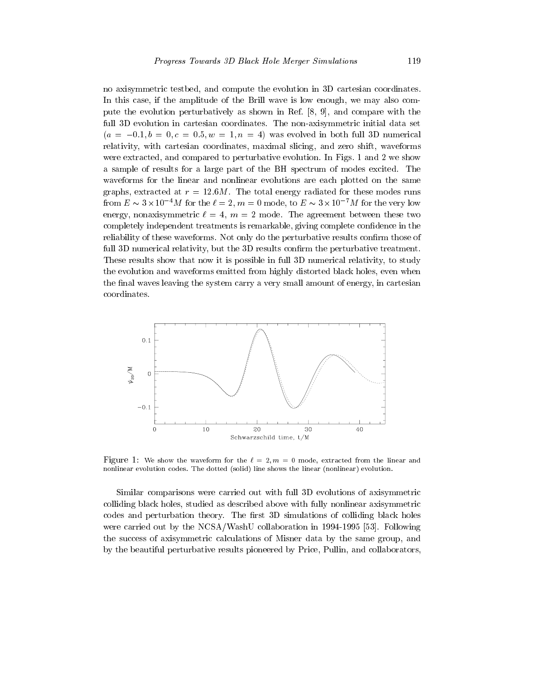no axisymmetric testbed, and compute the evolution in 3D cartesian coordinates. In this case, if the amplitude of the Brill wave is low enough, we may also compute the evolution perturbatively as shown in Ref. [8, 9], and compare with the full 3D evolution in cartesian coordinates. The non-axisymmetric initial data set  $(a = -0.1, b = 0, c = 0.5, w = 1, n = 4)$  was evolved in both full 3D numerical relativity, with cartesian coordinates, maximal slicing, and zero shift, waveforms were extracted, and compared to perturbative evolution. In Figs. 1 and 2 we show a sample of results for a large part of the BH spectrum of modes excited. The waveforms for the linear and nonlinear evolutions are each plotted on the same graphs, extracted at  $r = 12.6M$ . The total energy radiated for these modes runs from  $E \sim 3 \times 10^{-4}$  M for the  $\ell = 2, m = 0$  mode, to  $E \sim 3 \times 10^{-4}$  M for the very low energy, nonaxisymmetric  $\ell = 4$ ,  $m = 2$  mode. The agreement between these two completely independent treatments is remarkable, giving complete condence in the reliability of these waveforms. Not only do the perturbative results confirm those of full 3D numerical relativity, but the 3D results confirm the perturbative treatment. These results show that now it is possible in full 3D numerical relativity, to study the evolution and waveforms emitted from highly distorted black holes, even when the final waves leaving the system carry a very small amount of energy, in cartesian coordinates.



Figure 1: We show the waveform for the  $\ell = 2, m = 0$  mode, extracted from the linear and nonlinear evolution codes. The dotted (solid) line shows the linear (nonlinear) evolution.

Similar comparisons were carried out with full 3D evolutions of axisymmetric colliding black holes, studied as described above with fully nonlinear axisymmetric codes and perturbation theory. The first 3D simulations of colliding black holes were carried out by the NCSA/WashU collaboration in 1994-1995 [53]. Following the success of axisymmetric calculations of Misner data by the same group, and by the beautiful perturbative results pioneered by Price, Pullin, and collaborators,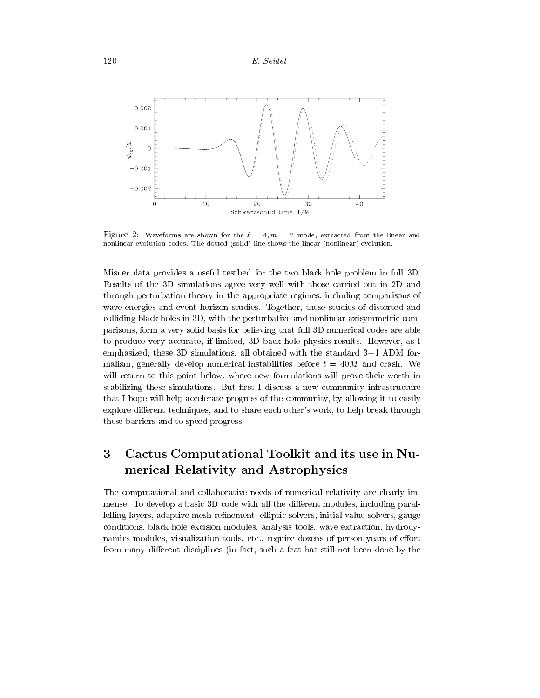

Figure 2: Waveforms are shown for the  $\ell = 4, m = 2$  mode, extracted from the linear and nonlinear evolution codes. The dotted (solid) line shows the linear (nonlinear) evolution.

Misner data provides a useful testbed for the two black hole problem in full 3D. Results of the 3D simulations agree very well with those carried out in 2D and through perturbation theory in the appropriate regimes, including comparisons of wave energies and event horizon studies. Together, these studies of distorted and colliding black holes in 3D, with the perturbative and nonlinear axisymmetric comparisons, form a very solid basis for believing that full 3D numerical codes are able to produce very accurate, if limited, 3D back hole physics results. However, as I emphasized, these 3D simulations, all obtained with the standard 3+1 ADM formalism, generally develop numerical instabilities before  $t = 40M$  and crash. We will return to this point below, where new formulations will prove their worth in stabilizing these simulations. But first I discuss a new community infrastructure that I hope will help accelerate progress of the community, by allowing it to easily explore different techniques, and to share each other's work, to help break through these barriers and to speed progress.

## 3 Cactus Computational Toolkit and its use in Numerical Relativity and Astrophysics

The computational and collaborative needs of numerical relativity are clearly immense. To develop a basic 3D code with all the different modules, including parallelling layers, adaptive mesh refinement, elliptic solvers, initial value solvers, gauge conditions, black hole excision modules, analysis tools, wave extraction, hydrodynamics modules, visualization tools, etc., require dozens of person years of effort from many different disciplines (in fact, such a feat has still not been done by the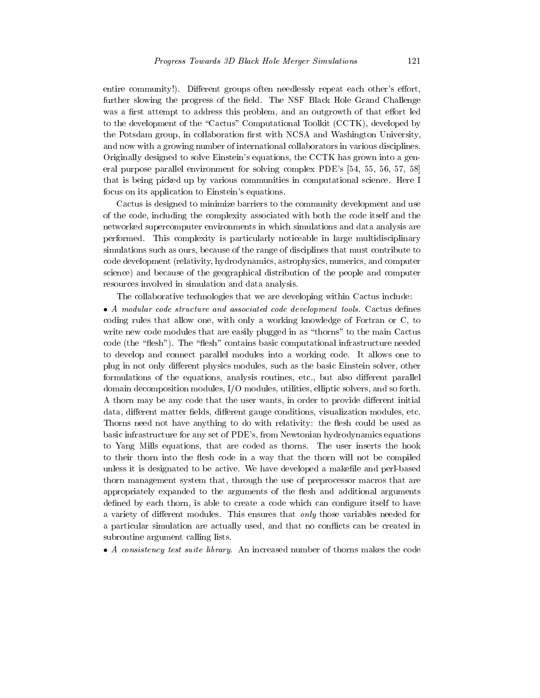entire community!). Different groups often needlessly repeat each other's effort, further slowing the progress of the field. The NSF Black Hole Grand Challenge was a first attempt to address this problem, and an outgrowth of that effort led to the development of the "Cactus" Computational Toolkit (CCTK), developed by the Potsdam group, in collaboration first with NCSA and Washington University, and now with a growing number of international collaborators in various disciplines. Originally designed to solve Einstein's equations, the CCTK has grown into a general purpose parallel environment for solving complex PDE's [54, 55, 56, 57, 58] that is being picked up by various communities in computational science. Here I focus on its application to Einstein's equations.

Cactus is designed to minimize barriers to the community development and use of the code, including the complexity associated with both the code itself and the networked supercomputer environments in which simulations and data analysis are performed. This complexity is particularly noticeable in large multidisciplinary simulations such as ours, because of the range of disciplines that must contribute to code development (relativity, hydrodynamics, astrophysics, numerics, and computer science) and because of the geographical distribution of the people and computer resources involved in simulation and data analysis.

The collaborative technologies that we are developing within Cactus include:

• A modular code structure and associated code development tools. Cactus defines coding rules that allow one, with only a working knowledge of Fortran or C, to write new code modules that are easily plugged in as "thorns" to the main Cactus code (the "flesh"). The "flesh" contains basic computational infrastructure needed to develop and connect parallel modules into a working code. It allows one to plug in not only different physics modules, such as the basic Einstein solver, other formulations of the equations, analysis routines, etc., but also different parallel domain decomposition modules, I/O modules, utilities, elliptic solvers, and so forth. A thorn may be any code that the user wants, in order to provide different initial data, different matter fields, different gauge conditions, visualization modules, etc. Thorns need not have anything to do with relativity: the flesh could be used as basic infrastructure for any set of PDE's, from Newtonian hydrodynamics equations to Yang Mills equations, that are coded as thorns. The user inserts the hook to their thorn into the flesh code in a way that the thorn will not be compiled unless it is designated to be active. We have developed a makefile and perl-based thorn management system that, through the use of preprocessor macros that are appropriately expanded to the arguments of the flesh and additional arguments defined by each thorn, is able to create a code which can configure itself to have a variety of different modules. This ensures that *only* those variables needed for a particular simulation are actually used, and that no con
icts can be created in subroutine argument calling lists.

 $\bullet$  A consistency test suite library. An increased number of thorns makes the code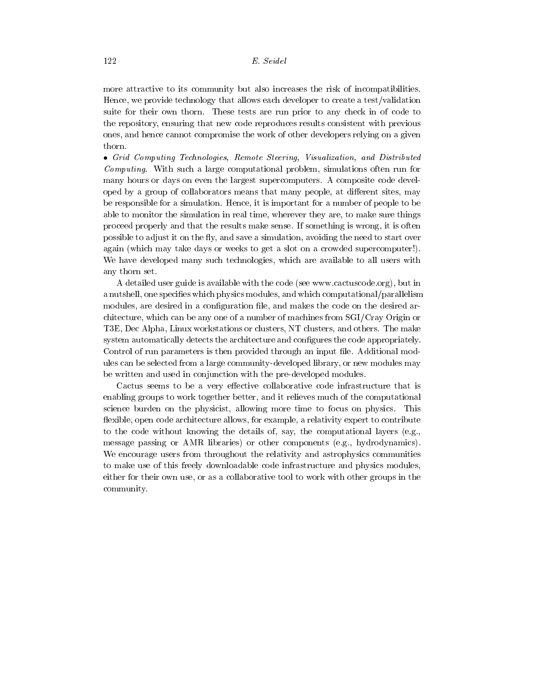more attractive to its community but also increases the risk of incompatibilities. Hence, we provide technology that allows each developer to create a test/validation suite for their own thorn. These tests are run prior to any check in of code to the repository, ensuring that new code reproduces results consistent with previous ones, and hence cannot compromise the work of other developers relying on a given thorn.

 Grid Computing Technologies, Remote Steering, Visualization, and Distributed Computing. With such a large computational problem, simulations often run for many hours or days on even the largest supercomputers. A composite code developed by a group of collaborators means that many people, at different sites, may be responsible for a simulation. Hence, it is important for a number of people to be able to monitor the simulation in real time, wherever they are, to make sure things proceed properly and that the results make sense. If something is wrong, it is often possible to adjust it on the fly, and save a simulation, avoiding the need to start over again (which may take days or weeks to get a slot on a crowded supercomputer!). We have developed many such technologies, which are available to all users with any thorn set.

A detailed user guide is available with the code (see www.cactuscode.org), but in a nutshell, one specifies which physics modules, and which computational/parallelism modules, are desired in a configuration file, and makes the code on the desired architecture, which can be any one of a number of machines from SGI/Cray Origin or T3E, Dec Alpha, Linux workstations or clusters, NT clusters, and others. The make system automatically detects the architecture and congures the code appropriately. Control of run parameters is then provided through an input file. Additional modules can be selected from a large community-developed library, or new modules may be written and used in conjunction with the pre-developed modules.

Cactus seems to be a very effective collaborative code infrastructure that is enabling groups to work together better, and it relieves much of the computational science burden on the physicist, allowing more time to focus on physics. This flexible, open code architecture allows, for example, a relativity expert to contribute to the code without knowing the details of, say, the computational layers (e.g., message passing or AMR libraries) or other components (e.g., hydrodynamics). We encourage users from throughout the relativity and astrophysics communities to make use of this freely downloadable code infrastructure and physics modules, either for their own use, or as a collaborative tool to work with other groups in the community.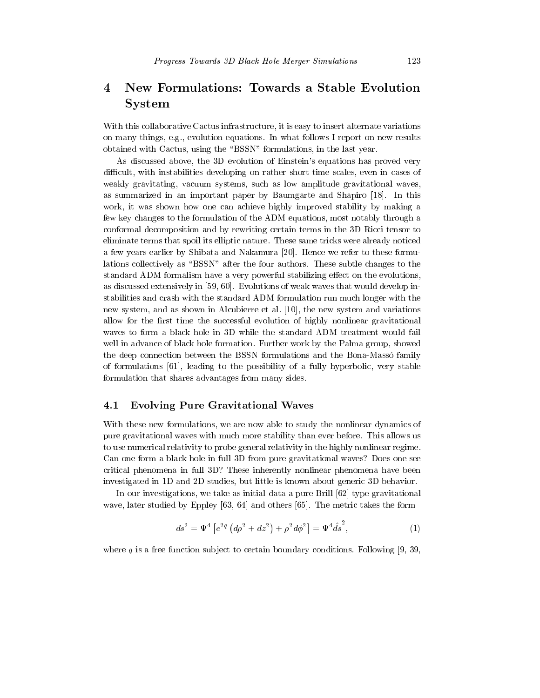## 4 New Formulations: Towards a Stable Evolution System

With this collaborative Cactus infrastructure, it is easy to insert alternate variations on many things, e.g., evolution equations. In what follows I report on new results obtained with Cactus, using the \BSSN" formulations, in the last year.

As discussed above, the 3D evolution of Einstein's equations has proved very difficult, with instabilities developing on rather short time scales, even in cases of weakly gravitating, vacuum systems, such as low amplitude gravitational waves, as summarized in an important paper by Baumgarte and Shapiro [18]. In this work, it was shown how one can achieve highly improved stability by making a few key changes to the formulation of the ADM equations, most notably through a conformal decomposition and by rewriting certain terms in the 3D Ricci tensor to eliminate terms that spoil its elliptic nature. These same tricks were already noticed a few years earlier by Shibata and Nakamura [20]. Hence we refer to these formulations collectively as "BSSN" after the four authors. These subtle changes to the standard ADM formalism have a very powerful stabilizing effect on the evolutions, as discussed extensively in [59, 60]. Evolutions of weak waves that would develop instabilities and crash with the standard ADM formulation run much longer with the new system, and as shown in Alcubierre et al. [10], the new system and variations allow for the first time the successful evolution of highly nonlinear gravitational waves to form a black hole in 3D while the standard ADM treatment would fail well in advance of black hole formation. Further work by the Palma group, showed the deep connection between the BSSN formulations and the Bona-Masso family of formulations [61], leading to the possibility of a fully hyperbolic, very stable formulation that shares advantages from many sides.

#### 4.1 Evolving Pure Gravitational Waves

With these new formulations, we are now able to study the nonlinear dynamics of pure gravitational waves with much more stability than ever before. This allows us to use numerical relativity to probe general relativity in the highly nonlinear regime. Can one form a black hole in full 3D from pure gravitational waves? Does one see critical phenomena in full 3D? These inherently nonlinear phenomena have been investigated in 1D and 2D studies, but little is known about generic 3D behavior.

In our investigations, we take as initial data a pure Brill [62] type gravitational wave, later studied by Eppley [63, 64] and others [65]. The metric takes the form

$$
ds^{2} = \Psi^{4} \left[ e^{2q} \left( d\rho^{2} + dz^{2} \right) + \rho^{2} d\phi^{2} \right] = \Psi^{4} \hat{ds}^{2}, \tag{1}
$$

where q is a free function subject to certain boundary conditions. Following [9, 39,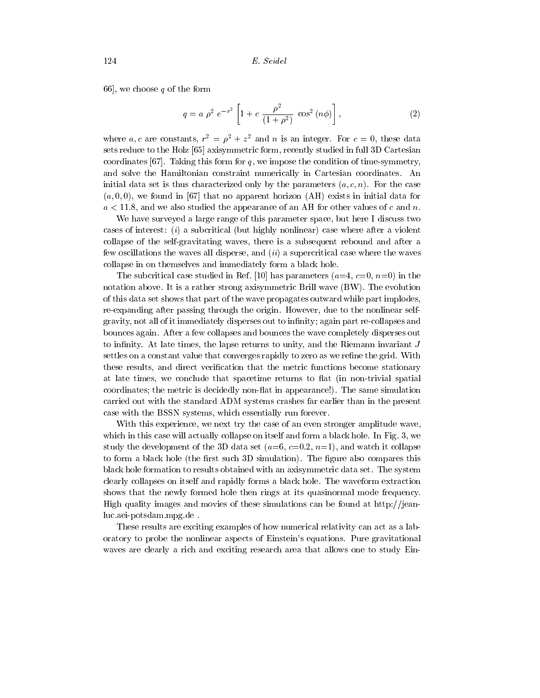66], we choose q of the form

$$
q = a \rho^2 e^{-r^2} \left[ 1 + c \frac{\rho^2}{(1 + \rho^2)} \cos^2(n\phi) \right],
$$
 (2)

where a, c are constants,  $r^2 = \rho^2 + z^2$  and n is an integer. For  $c = 0$ , these data sets reduce to the Holz [65] axisymmetric form, recently studied in full 3D Cartesian coordinates [67]. Taking this form for q, we impose the condition of time-symmetry, and solve the Hamiltonian constraint numerically in Cartesian coordinates. An initial data set is thus characterized only by the parameters  $(a, c, n)$ . For the case  $(a, 0, 0)$ , we found in [67] that no apparent horizon (AH) exists in initial data for  $a < 11.8$ , and we also studied the appearance of an AH for other values of c and n.

We have surveyed a large range of this parameter space, but here I discuss two cases of interest:  $(i)$  a subcritical (but highly nonlinear) case where after a violent collapse of the self-gravitating waves, there is a subsequent rebound and after a few oscillations the waves all disperse, and  $(ii)$  a supercritical case where the waves collapse in on themselves and immediately form a black hole.

The subcritical case studied in Ref. [10] has parameters  $(a=4, c=0, n=0)$  in the notation above. It is a rather strong axisymmetric Brill wave (BW). The evolution of this data set shows that part of the wave propagates outward while part implodes, re-expanding after passing through the origin. However, due to the nonlinear selfgravity, not all of it immediately disperses out to innity; again part re-collapses and bounces again. After a few collapses and bounces the wave completely disperses out to infinity. At late times, the lapse returns to unity, and the Riemann invariant  $J$ settles on a constant value that converges rapidly to zero as we refine the grid. With these results, and direct verification that the metric functions become stationary at late times, we conclude that spacetime returns to flat (in non-trivial spatial coordinates; the metric is decidedly non-flat in appearance!). The same simulation carried out with the standard ADM systems crashes far earlier than in the present case with the BSSN systems, which essentially run forever.

With this experience, we next try the case of an even stronger amplitude wave, which in this case will actually collapse on itself and form a black hole. In Fig. 3, we study the development of the 3D data set  $(a=6, c=0.2, n=1)$ , and watch it collapse to form a black hole (the first such 3D simulation). The figure also compares this black hole formation to results obtained with an axisymmetric data set. The system clearly collapses on itself and rapidly forms a black hole. The waveform extraction shows that the newly formed hole then rings at its quasinormal mode frequency. High quality images and movies of these simulations can be found at http://jeanluc.aei-potsdam.mpg.de .

These results are exciting examples of how numerical relativity can act as a laboratory to probe the nonlinear aspects of Einstein's equations. Pure gravitational waves are clearly a rich and exciting research area that allows one to study Ein-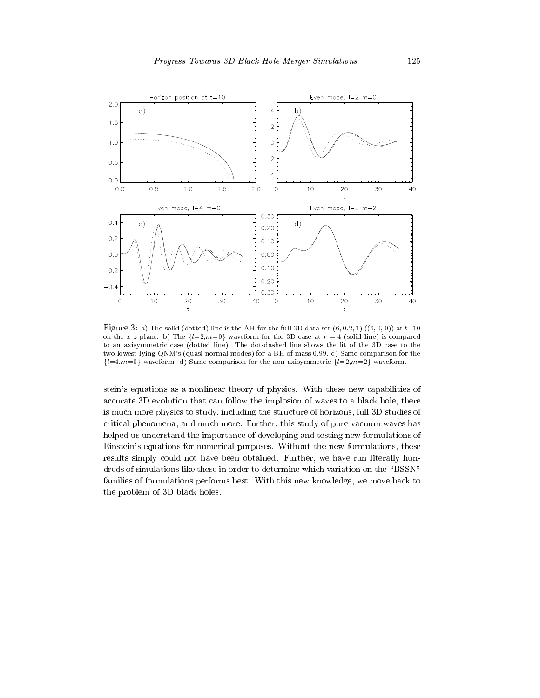

Figure 3: a) The solid (dotted) line is the AH for the full 3D data set  $(6, 0.2, 1)$   $((6, 0, 0))$  at  $t=10$ on the x-z plane. b) The  ${l=2,m=0}$  waveform for the 3D case at  $r = 4$  (solid line) is compared to an axisymmetric case (dotted line). The dot-dashed line shows the fit of the 3D case to the two lowest lying QNM's (quasi-normal modes) for a BH of mass 0.99. c) Same comparison for the  ${l=4,m=0}$  waveform. d) Same comparison for the non-axisymmetric  ${l=2,m=2}$  waveform.

stein's equations as a nonlinear theory of physics. With these new capabilities of accurate 3D evolution that can follow the implosion of waves to a black hole, there is much more physics to study, including the structure of horizons, full 3D studies of critical phenomena, and much more. Further, this study of pure vacuum waves has helped us understand the importance of developing and testing new formulations of Einstein's equations for numerical purposes. Without the new formulations, these results simply could not have been obtained. Further, we have run literally hundreds of simulations like these in order to determine which variation on the "BSSN" families of formulations performs best. With this new knowledge, we move back to the problem of 3D black holes.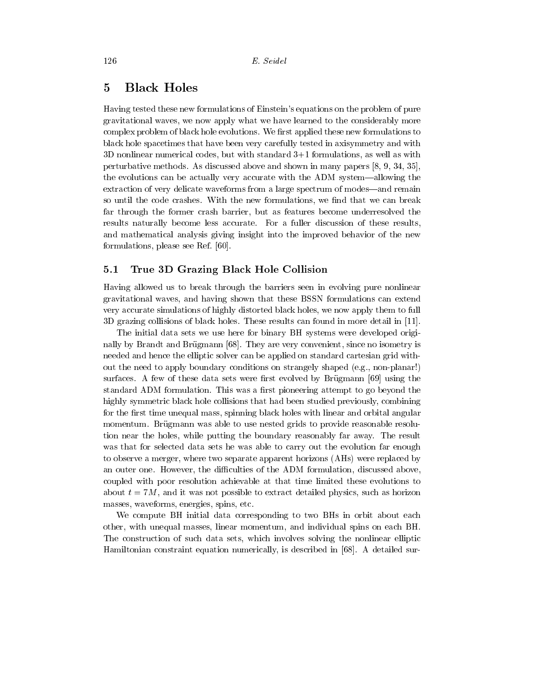Having tested these new formulations of Einstein's equations on the problem of pure gravitational waves, we now apply what we have learned to the considerably more complex problem of black hole evolutions. We first applied these new formulations to black hole spacetimes that have been very carefully tested in axisymmetry and with 3D nonlinear numerical codes, but with standard 3+1 formulations, as well as with perturbative methods. As discussed above and shown in many papers [8, 9, 34, 35], the evolutions can be actually very accurate with the ADM system—allowing the extraction of very delicate waveforms from a large spectrum of modes—and remain so until the code crashes. With the new formulations, we find that we can break far through the former crash barrier, but as features become underresolved the results naturally become less accurate. For a fuller discussion of these results, and mathematical analysis giving insight into the improved behavior of the new formulations, please see Ref. [60].

#### $5.1$ True 3D Grazing Black Hole Collision

Having allowed us to break through the barriers seen in evolving pure nonlinear gravitational waves, and having shown that these BSSN formulations can extend very accurate simulations of highly distorted black holes, we now apply them to full 3D grazing collisions of black holes. These results can found in more detail in [11].

The initial data sets we use here for binary BH systems were developed originally by Brandt and Brügmann [68]. They are very convenient, since no isometry is needed and hence the elliptic solver can be applied on standard cartesian grid without the need to apply boundary conditions on strangely shaped (e.g., non-planar!) surfaces. A few of these data sets were first evolved by Brügmann [69] using the standard ADM formulation. This was a first pioneering attempt to go beyond the highly symmetric black hole collisions that had been studied previously, combining for the first time unequal mass, spinning black holes with linear and orbital angular momentum. Brügmann was able to use nested grids to provide reasonable resolution near the holes, while putting the boundary reasonably far away. The result was that for selected data sets he was able to carry out the evolution far enough to observe a merger, where two separate apparent horizons (AHs) were replaced by an outer one. However, the difficulties of the ADM formulation, discussed above, coupled with poor resolution achievable at that time limited these evolutions to about  $t = 7M$ , and it was not possible to extract detailed physics, such as horizon masses, waveforms, energies, spins, etc.

We compute BH initial data corresponding to two BHs in orbit about each other, with unequal masses, linear momentum, and individual spins on each BH. The construction of such data sets, which involves solving the nonlinear elliptic Hamiltonian constraint equation numerically, is described in [68]. A detailed sur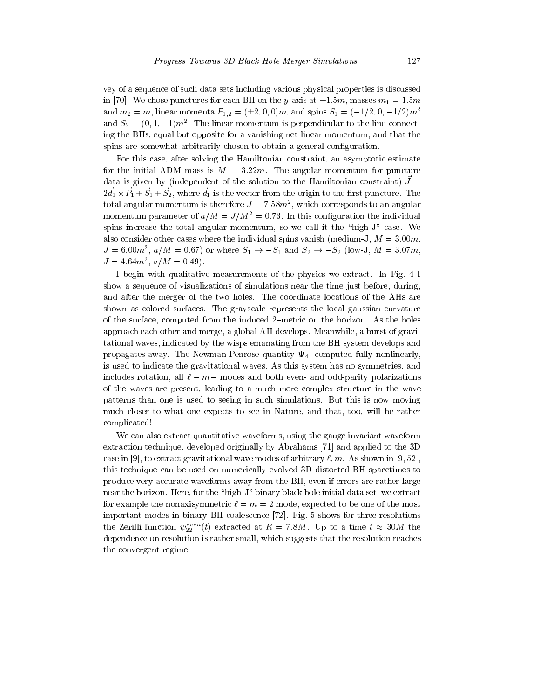vey of a sequence of such data sets including various physical properties is discussed in [70]. We chose punctures for each BH on the y-axis at  $\pm 1.5m$ , masses  $m_1 = 1.5m$ and  $m_2 = m$ , linear momenta  $P_{1,2} = (\pm 2, 0, 0) m$ , and spins  $S_1 = (-1/2, 0, -1/2) m^2$ and  $S_2 = (0,1,-1)m$ . The linear momentum is perpendicular to the line connecting the BHs, equal but opposite for a vanishing net linear momentum, and that the spins are somewhat arbitrarily chosen to obtain a general configuration.

For this case, after solving the Hamiltonian constraint, an asymptotic estimate for the initial ADM mass is  $M = 3.22m$ . The angular momentum for puncture data is given by (independent of the solution to the Hamiltonian constraint)  $\vec{J}$  =  $2a_1 \times I + S_1 + S_2$ , where  $a_1$  is the vector from the origin to the mist puncture. The total angular momentum is therefore  $J = 7.58$ m<sup>-</sup>, which corresponds to an angular momentum parameter of  $a/M = J/M^2 = 0.73$ . In this configuration the individual spins increase the total angular momentum, so we call it the "high-J" case. We also consider other cases where the individual spins vanish (medium-J,  $M = 3.00m$ ,  $J = 0.00m^2$ ,  $a/M = 0.67$  or where  $S_1 \rightarrow -S_1$  and  $S_2 \rightarrow -S_2$  (low-J,  $M = 3.07m$ ,  $J = 4.04$  $m$ ,  $a/M = 0.49$ .

I begin with qualitative measurements of the physics we extract. In Fig. 4 I show a sequence of visualizations of simulations near the time just before, during, and after the merger of the two holes. The coordinate locations of the AHs are shown as colored surfaces. The grayscale represents the local gaussian curvature of the surface, computed from the induced 2{metric on the horizon. As the holes approach each other and merge, a global AH develops. Meanwhile, a burst of gravitational waves, indicated by the wisps emanating from the BH system develops and propagates away. The Newman-Penrose quantity  $\Psi_4$ , computed fully nonlinearly, is used to indicate the gravitational waves. As this system has no symmetries, and includes rotation, all  $\ell - m -$  modes and both even- and odd-parity polarizations of the waves are present, leading to a much more complex structure in the wave patterns than one is used to seeing in such simulations. But this is now moving much closer to what one expects to see in Nature, and that, too, will be rather complicated!

We can also extract quantitative waveforms, using the gauge invariant waveform extraction technique, developed originally by Abrahams [71] and applied to the 3D case in [9], to extract gravitational wave modes of arbitrary  $\ell, m$ . As shown in [9, 52], this technique can be used on numerically evolved 3D distorted BH spacetimes to produce very accurate waveforms away from the BH, even if errors are rather large near the horizon. Here, for the "high-J" binary black hole initial data set, we extract for example the nonaxisymmetric  $\ell = m = 2$  mode, expected to be one of the most important modes in binary BH coalescence [72]. Fig. 5 shows for three resolutions the Zerilli function  $\psi_{22}$  (*t*) extracted at  $R = 7.8M$ . Up to a time  $t \approx 30M$  the dependence on resolution is rather small, which suggests that the resolution reaches the convergent regime.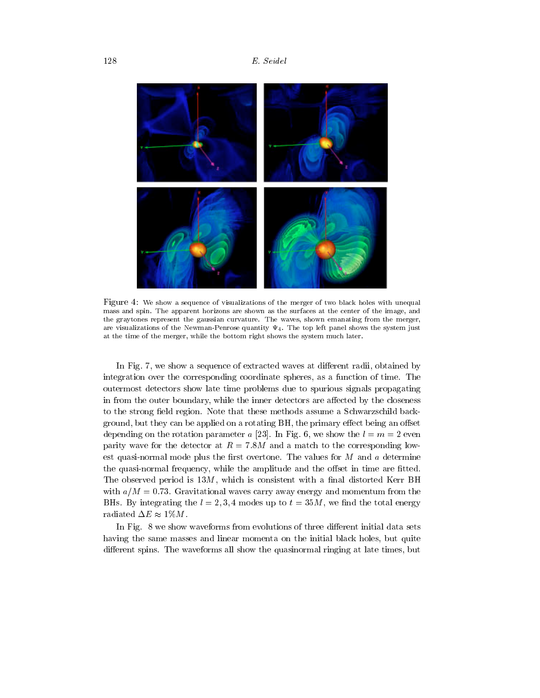

Figure 4: We show a sequence of visualizations of the merger of two black holes with unequal mass and spin. The apparent horizons are shown as the surfaces at the center of the image, and the graytones represent the gaussian curvature. The waves, shown emanating from the merger, are visualizations of the Newman-Penrose quantity  $\Psi_4$ . The top left panel shows the system just at the time of the merger, while the bottom right shows the system much later.

In Fig. 7, we show a sequence of extracted waves at different radii, obtained by integration over the corresponding coordinate spheres, as a function of time. The outermost detectors show late time problems due to spurious signals propagating in from the outer boundary, while the inner detectors are affected by the closeness to the strong field region. Note that these methods assume a Schwarzschild background, but they can be applied on a rotating BH, the primary effect being an offset depending on the rotation parameter a [23]. In Fig. 6, we show the  $l = m = 2$  even parity wave for the detector at  $R = 7.8M$  and a match to the corresponding lowest quasi-normal mode plus the first overtone. The values for  $M$  and  $a$  determine the quasi-normal frequency, while the amplitude and the offset in time are fitted. The observed period is  $13M$ , which is consistent with a final distorted Kerr BH with  $a/M = 0.73$ . Gravitational waves carry away energy and momentum from the BHs. By integrating the  $l = 2, 3, 4$  modes up to  $t = 35M$ , we find the total energy radiated  $\Delta E \approx 1\%M$ .

In Fig. 8 we show waveforms from evolutions of three different initial data sets having the same masses and linear momenta on the initial black holes, but quite different spins. The waveforms all show the quasinormal ringing at late times, but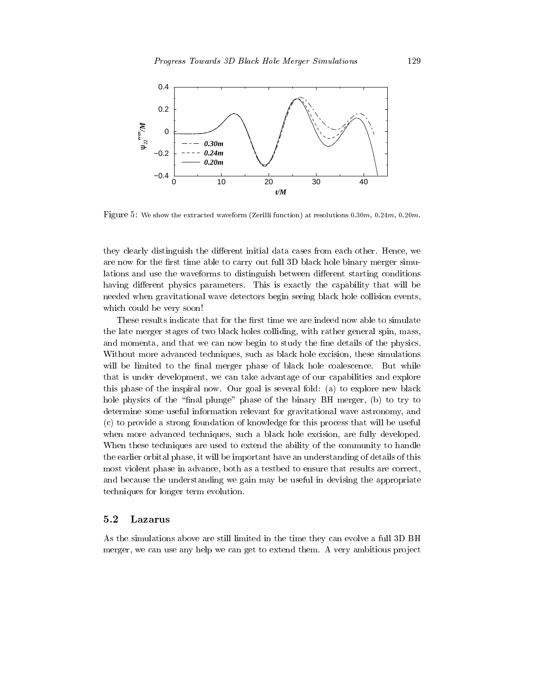

Figure 5: We show the extracted waveform (Zerilli function) at resolutions  $0.30m$ ,  $0.24m$ ,  $0.20m$ .

they clearly distinguish the different initial data cases from each other. Hence, we are now for the first time able to carry out full 3D black hole binary merger simulations and use the waveforms to distinguish between different starting conditions having different physics parameters. This is exactly the capability that will be needed when gravitational wave detectors begin seeing black hole collision events, which could be very soon!

These results indicate that for the first time we are indeed now able to simulate the late merger stages of two black holes colliding, with rather general spin, mass, and momenta, and that we can now begin to study the fine details of the physics. Without more advanced techniques, such as black hole excision, these simulations will be limited to the final merger phase of black hole coalescence. But while that is under development, we can take advantage of our capabilities and explore this phase of the inspiral now. Our goal is several fold: (a) to explore new black hole physics of the "final plunge" phase of the binary BH merger, (b) to try to determine some useful information relevant for gravitational wave astronomy, and (c) to provide a strong foundation of knowledge for this process that will be useful when more advanced techniques, such a black hole excision, are fully developed. When these techniques are used to extend the ability of the community to handle the earlier orbital phase, it will be important have an understanding of details of this most violent phase in advance, both as a testbed to ensure that results are correct, and because the understanding we gain may be useful in devising the appropriate techniques for longer term evolution.

#### 5.2 Lazarus

As the simulations above are still limited in the time they can evolve a full 3D BH merger, we can use any help we can get to extend them. A very ambitious project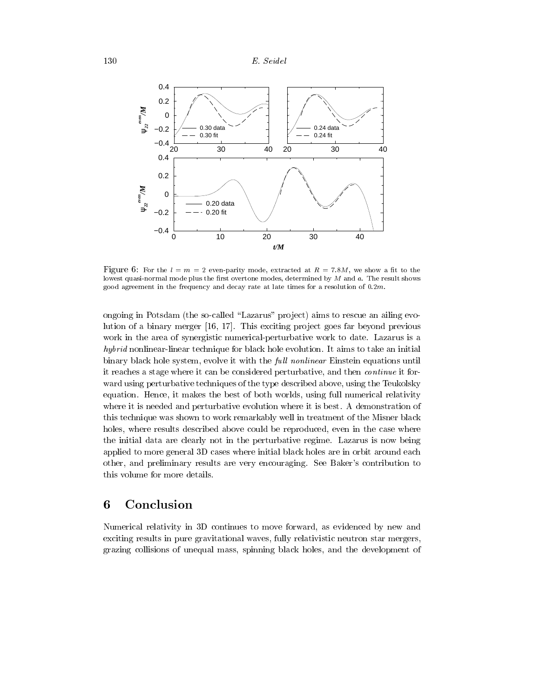

Figure 6: For the  $l = m = 2$  even-parity mode, extracted at  $R = 7.8M$ , we show a fit to the lowest quasi-normal mode plus the first overtone modes, determined by  $M$  and  $a$ . The result shows good agreement in the frequency and decay rate at late times for a resolution of  $0.2m$ .

ongoing in Potsdam (the so-called "Lazarus" project) aims to rescue an ailing evolution of a binary merger  $[16, 17]$ . This exciting project goes far beyond previous work in the area of synergistic numerical-perturbative work to date. Lazarus is a hybrid nonlinear-linear technique for black hole evolution. It aims to take an initial binary black hole system, evolve it with the *full nonlinear* Einstein equations until it reaches a stage where it can be considered perturbative, and then continue it for ward using perturbative techniques of the type described above, using the Teukolsky equation. Hence, it makes the best of both worlds, using full numerical relativity where it is needed and perturbative evolution where it is best. A demonstration of this technique was shown to work remarkably well in treatment of the Misner black holes, where results described above could be reproduced, even in the case where the initial data are clearly not in the perturbative regime. Lazarus is now being applied to more general 3D cases where initial black holes are in orbit around each other, and preliminary results are very encouraging. See Baker's contribution to this volume for more details.

## 6 Conclusion

Numerical relativity in 3D continues to move forward, as evidenced by new and exciting results in pure gravitational waves, fully relativistic neutron star mergers, grazing collisions of unequal mass, spinning black holes, and the development of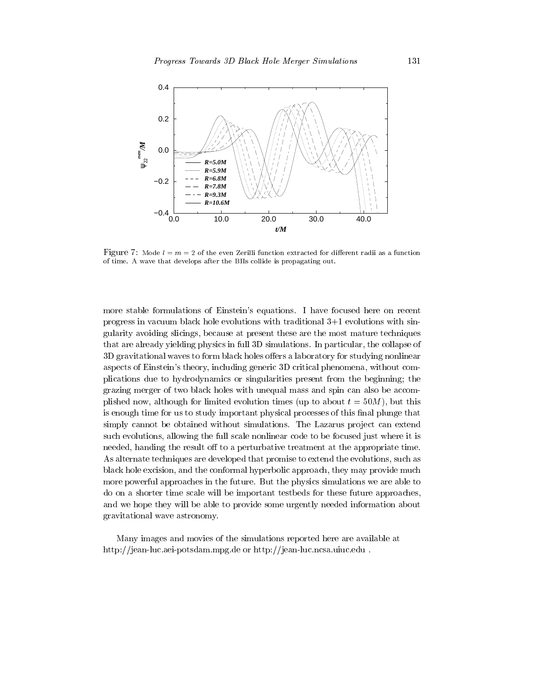

Figure 7: Mode  $l = m = 2$  of the even Zerilli function extracted for different radii as a function of time. A wave that develops after the BHs collide is propagating out.

more stable formulations of Einstein's equations. I have focused here on recent progress in vacuum black hole evolutions with traditional 3+1 evolutions with singularity avoiding slicings, because at present these are the most mature techniques that are already yielding physics in full 3D simulations. In particular, the collapse of 3D gravitational waves to form black holes offers a laboratory for studying nonlinear aspects of Einstein's theory, including generic 3D critical phenomena, without complications due to hydrodynamics or singularities present from the beginning; the grazing merger of two black holes with unequal mass and spin can also be accomplished now, although for limited evolution times (up to about  $t = 50M$ ), but this is enough time for us to study important physical processes of this final plunge that simply cannot be obtained without simulations. The Lazarus project can extend such evolutions, allowing the full scale nonlinear code to be focused just where it is needed, handing the result off to a perturbative treatment at the appropriate time. As alternate techniques are developed that promise to extend the evolutions, such as black hole excision, and the conformal hyperbolic approach, they may provide much more powerful approaches in the future. But the physics simulations we are able to do on a shorter time scale will be important testbeds for these future approaches, and we hope they will be able to provide some urgently needed information about gravitational wave astronomy.

Many images and movies of the simulations reported here are available at http://jean-luc.aei-potsdam.mpg.de or http://jean-luc.ncsa.uiuc.edu .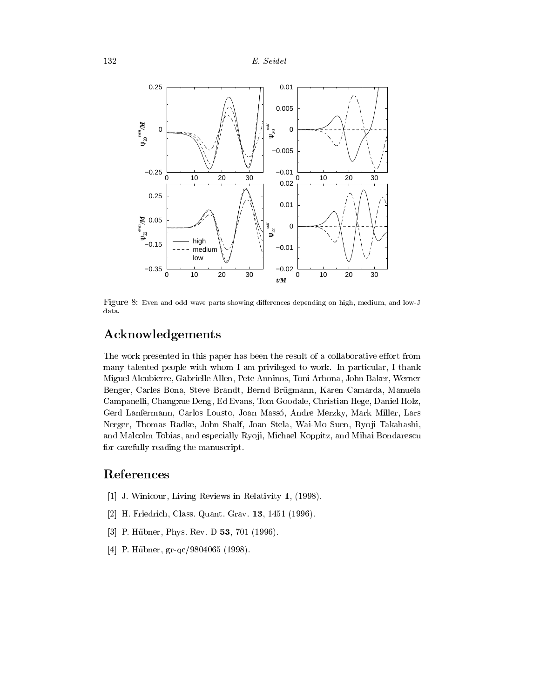

Figure 8: Even and odd wave parts showing differences depending on high, medium, and low-J data.

## Acknowledgements

The work presented in this paper has been the result of a collaborative effort from many talented people with whom I am privileged to work. In particular, I thank Miguel Alcubierre, Gabrielle Allen, Pete Anninos, Toni Arbona, John Baker, Werner Benger, Carles Bona, Steve Brandt, Bernd Brugmann, Karen Camarda, Manuela Campanelli, Changxue Deng, Ed Evans, Tom Goodale, Christian Hege, Daniel Holz, Gerd Lanfermann, Carlos Lousto, Joan Masso, Andre Merzky, Mark Miller, Lars Nerger, Thomas Radke, John Shalf, Joan Stela, Wai-Mo Suen, Ryoji Takahashi, and Malcolm Tobias, and especially Ryoji, Michael Koppitz, and Mihai Bondarescu for carefully reading the manuscript.

## References

- [1] J. Winicour, Living Reviews in Relativity 1, (1998).
- [2] H. Friedrich, Class. Quant. Grav. 13, 1451 (1996).
- [3] P. Hübner, Phys. Rev. D 53, 701 (1996).
- [4] P. Hübner, gr-qc/9804065 (1998).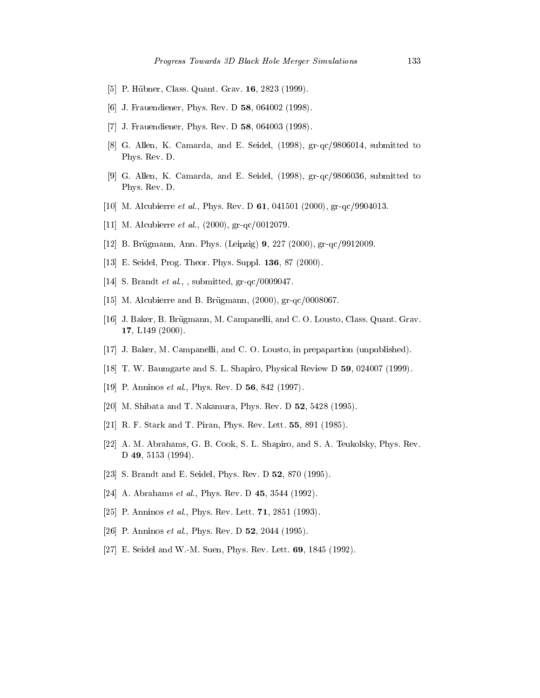- [5] P. Hubner, Class. Quant. Grav. 16, 2823 (1999).
- [6] J. Frauendiener, Phys. Rev. D 58, 064002 (1998).
- [7] J. Frauendiener, Phys. Rev. D 58, 064003 (1998).
- [8] G. Allen, K. Camarda, and E. Seidel, (1998), gr-qc/9806014, submitted to Phys. Rev. D.
- [9] G. Allen, K. Camarda, and E. Seidel, (1998), gr-qc/9806036, submitted to Phys. Rev. D.
- [10] M. Alcubierre et al., Phys. Rev. D 61, 041501 (2000), gr-qc/9904013.
- [11] M. Alcubierre *et al.*, (2000), gr-qc/0012079.
- [12] B. Brügmann, Ann. Phys. (Leipzig) 9, 227 (2000), gr-qc/9912009.
- [13] E. Seidel, Prog. Theor. Phys. Suppl. 136, 87 (2000).
- [14] S. Brandt et al., , submitted, gr-qc/0009047.
- [15] M. Alcubierre and B. Brügmann, (2000), gr-qc/0008067.
- [16] J. Baker, B. Brügmann, M. Campanelli, and C. O. Lousto, Class. Quant. Grav. 17, L149 (2000).
- [17] J. Baker, M. Campanelli, and C. O. Lousto, in prepapartion (unpublished).
- [18] T. W. Baumgarte and S. L. Shapiro, Physical Review D 59, 024007 (1999).
- [19] P. Anninos et al., Phys. Rev. D 56, 842 (1997).
- [20] M. Shibata and T. Nakamura, Phys. Rev. D 52, 5428 (1995).
- [21] R. F. Stark and T. Piran, Phys. Rev. Lett. 55, 891 (1985).
- [22] A. M. Abrahams, G. B. Cook, S. L. Shapiro, and S. A. Teukolsky, Phys. Rev. D 49, 5153 (1994).
- [23] S. Brandt and E. Seidel, Phys. Rev. D 52, 870 (1995).
- [24] A. Abrahams et al., Phys. Rev. D 45, 3544 (1992).
- [25] P. Anninos et al., Phys. Rev. Lett. **71**, 2851 (1993).
- [26] P. Anninos et al., Phys. Rev. D 52, 2044 (1995).
- [27] E. Seidel and W.-M. Suen, Phys. Rev. Lett. 69, 1845 (1992).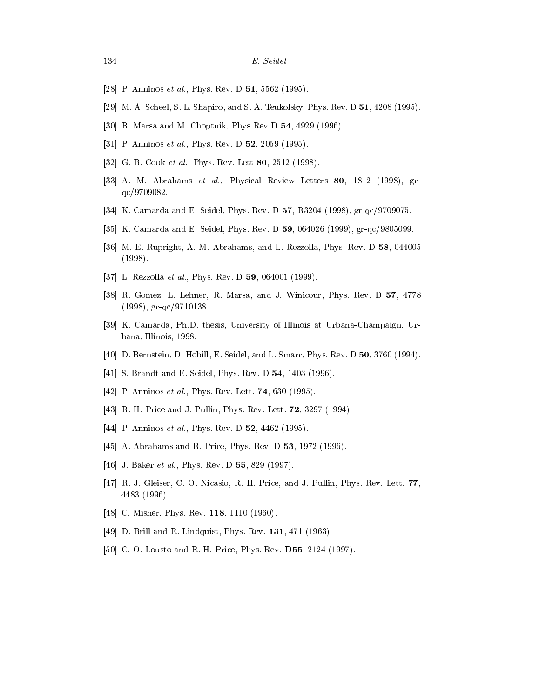- [28] P. Anninos et al., Phys. Rev. D **51**, 5562 (1995).
- [29] M. A. Scheel, S. L. Shapiro, and S. A. Teukolsky, Phys. Rev. D 51, 4208 (1995).
- [30] R. Marsa and M. Choptuik, Phys Rev D 54, 4929 (1996).
- [31] P. Anninos et al., Phys. Rev. D **52**, 2059 (1995).
- [32] G. B. Cook et al., Phys. Rev. Lett 80, 2512 (1998).
- [33] A. M. Abrahams et al., Physical Review Letters 80, 1812 (1998), grqc/9709082.
- [34] K. Camarda and E. Seidel, Phys. Rev. D 57, R3204 (1998), gr-qc/9709075.
- [35] K. Camarda and E. Seidel, Phys. Rev. D 59, 064026 (1999), gr-qc/9805099.
- [36] M. E. Rupright, A. M. Abrahams, and L. Rezzolla, Phys. Rev. D 58, 044005 (1998).
- [37] L. Rezzolla et al., Phys. Rev. D 59, 064001 (1999).
- [38] R. Gomez, L. Lehner, R. Marsa, and J. Winicour, Phys. Rev. D 57, 4778 (1998), gr-qc/9710138.
- [39] K. Camarda, Ph.D. thesis, University of Illinois at Urbana-Champaign, Urbana, Illinois, 1998.
- [40] D. Bernstein, D. Hobill, E. Seidel, and L. Smarr, Phys. Rev. D 50, 3760 (1994).
- [41] S. Brandt and E. Seidel, Phys. Rev. D 54, 1403 (1996).
- [42] P. Anninos et al., Phys. Rev. Lett. **74**, 630 (1995).
- [43] R. H. Price and J. Pullin, Phys. Rev. Lett. **72**, 3297 (1994).
- [44] P. Anninos *et al.*, Phys. Rev. D **52**, 4462 (1995).
- [45] A. Abrahams and R. Price, Phys. Rev. D **53**, 1972 (1996).
- [46] J. Baker *et al.*, Phys. Rev. D 55, 829 (1997).
- [47] R. J. Gleiser, C. O. Nicasio, R. H. Price, and J. Pullin, Phys. Rev. Lett. 77, 4483 (1996).
- [48] C. Misner, Phys. Rev. **118**, 1110 (1960).
- [49] D. Brill and R. Lindquist, Phys. Rev. 131, 471 (1963).
- [50] C. O. Lousto and R. H. Price, Phys. Rev. D55, 2124 (1997).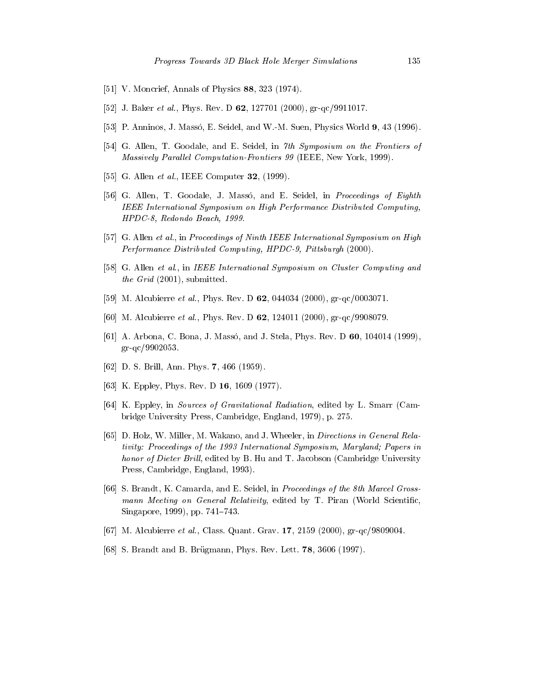- [51] V. Moncrief, Annals of Physics **88**, 323 (1974).
- [52] J. Baker *et al.*, Phys. Rev. D **62**, 127701 (2000), gr-qc/9911017.
- [53] P. Anninos, J. Massó, E. Seidel, and W.-M. Suen, Physics World 9, 43 (1996).
- [54] G. Allen, T. Goodale, and E. Seidel, in 7th Symposium on the Frontiers of *Massively Parallel Computation-Frontiers 99* (IEEE, New York, 1999).
- [55] G. Allen *et al.*, IEEE Computer **32**, (1999).
- [56] G. Allen, T. Goodale, J. Massó, and E. Seidel, in *Proceedings of Eighth* IEEE International Symposium on High Performance Distributed Computing, HPDC-8, Redondo Beach, 1999.
- [57] G. Allen et al., in Proceedings of Ninth IEEE International Symposium on High Performance Distributed Computing, HPDC-9, Pittsburgh (2000).
- [58] G. Allen et al., in IEEE International Symposium on Cluster Computing and the Grid (2001), submitted.
- [59] M. Alcubierre et al., Phys. Rev. D 62, 044034 (2000), gr-qc/0003071.
- [60] M. Alcubierre et al., Phys. Rev. D 62, 124011 (2000), gr-qc/9908079.
- [61] A. Arbona, C. Bona, J. Massó, and J. Stela, Phys. Rev. D 60, 104014 (1999), gr-qc/9902053.
- [62] D. S. Brill, Ann. Phys. 7, 466 (1959).
- [63] K. Eppley, Phys. Rev. D 16, 1609 (1977).
- [64] K. Eppley, in Sources of Gravitational Radiation, edited by L. Smarr (Cambridge University Press, Cambridge, England, 1979), p. 275.
- [65] D. Holz, W. Miller, M. Wakano, and J. Wheeler, in Directions in General Relativity: Proceedings of the 1993 International Symposium, Maryland; Papers in honor of Dieter Brill, edited by B. Hu and T. Jacobson (Cambridge University Press, Cambridge, England, 1993).
- [66] S. Brandt, K. Camarda, and E. Seidel, in Proceedings of the 8th Marcel Grossmann Meeting on General Relativity, edited by T. Piran (World Scientific, Singapore,  $1999$ , pp.  $741–743$ .
- [67] M. Alcubierre et al., Class. Quant. Grav. 17, 2159 (2000), gr-qc/9809004.
- [68] S. Brandt and B. Brügmann, Phys. Rev. Lett. **78**, 3606 (1997).